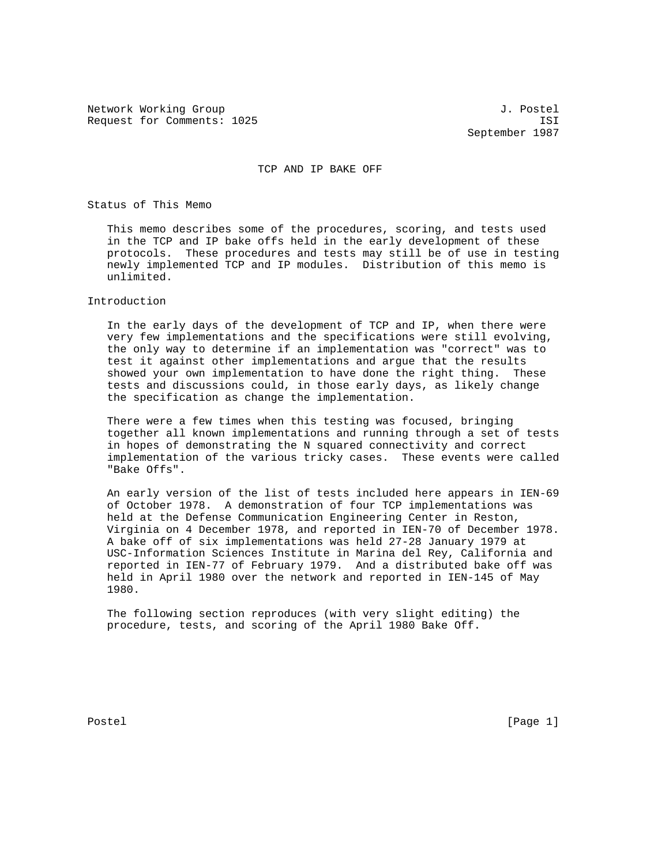Network Working Group 3. 2008 3. Postel Request for Comments: 1025 ISI

September 1987

## TCP AND IP BAKE OFF

Status of This Memo

 This memo describes some of the procedures, scoring, and tests used in the TCP and IP bake offs held in the early development of these protocols. These procedures and tests may still be of use in testing newly implemented TCP and IP modules. Distribution of this memo is unlimited.

## Introduction

 In the early days of the development of TCP and IP, when there were very few implementations and the specifications were still evolving, the only way to determine if an implementation was "correct" was to test it against other implementations and argue that the results showed your own implementation to have done the right thing. These tests and discussions could, in those early days, as likely change the specification as change the implementation.

 There were a few times when this testing was focused, bringing together all known implementations and running through a set of tests in hopes of demonstrating the N squared connectivity and correct implementation of the various tricky cases. These events were called "Bake Offs".

 An early version of the list of tests included here appears in IEN-69 of October 1978. A demonstration of four TCP implementations was held at the Defense Communication Engineering Center in Reston, Virginia on 4 December 1978, and reported in IEN-70 of December 1978. A bake off of six implementations was held 27-28 January 1979 at USC-Information Sciences Institute in Marina del Rey, California and reported in IEN-77 of February 1979. And a distributed bake off was held in April 1980 over the network and reported in IEN-145 of May 1980.

 The following section reproduces (with very slight editing) the procedure, tests, and scoring of the April 1980 Bake Off.

Postel [Page 1] [Page 1]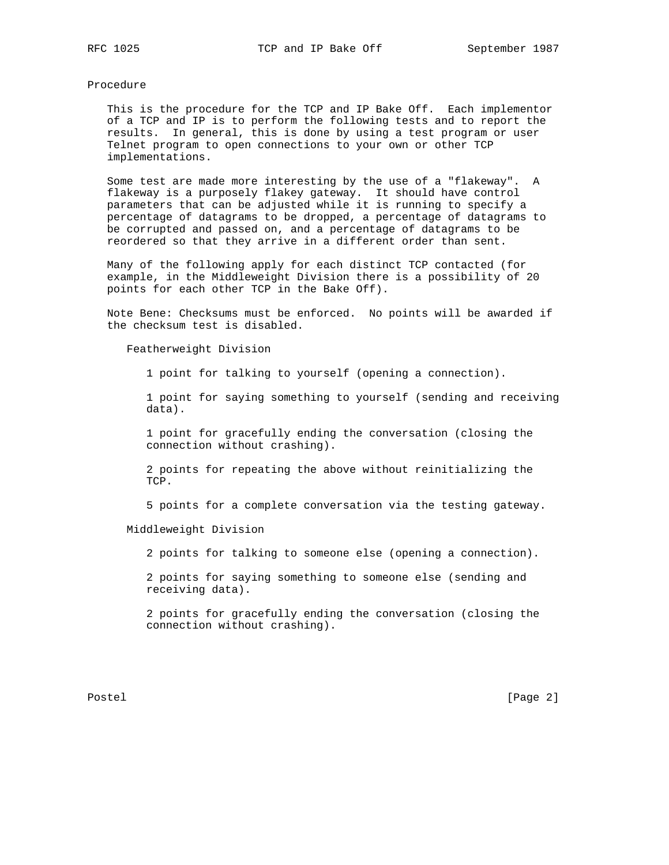## Procedure

 This is the procedure for the TCP and IP Bake Off. Each implementor of a TCP and IP is to perform the following tests and to report the results. In general, this is done by using a test program or user Telnet program to open connections to your own or other TCP implementations.

 Some test are made more interesting by the use of a "flakeway". A flakeway is a purposely flakey gateway. It should have control parameters that can be adjusted while it is running to specify a percentage of datagrams to be dropped, a percentage of datagrams to be corrupted and passed on, and a percentage of datagrams to be reordered so that they arrive in a different order than sent.

 Many of the following apply for each distinct TCP contacted (for example, in the Middleweight Division there is a possibility of 20 points for each other TCP in the Bake Off).

 Note Bene: Checksums must be enforced. No points will be awarded if the checksum test is disabled.

Featherweight Division

1 point for talking to yourself (opening a connection).

 1 point for saying something to yourself (sending and receiving data).

 1 point for gracefully ending the conversation (closing the connection without crashing).

 2 points for repeating the above without reinitializing the TCP.

5 points for a complete conversation via the testing gateway.

Middleweight Division

2 points for talking to someone else (opening a connection).

 2 points for saying something to someone else (sending and receiving data).

 2 points for gracefully ending the conversation (closing the connection without crashing).

Postel [Page 2]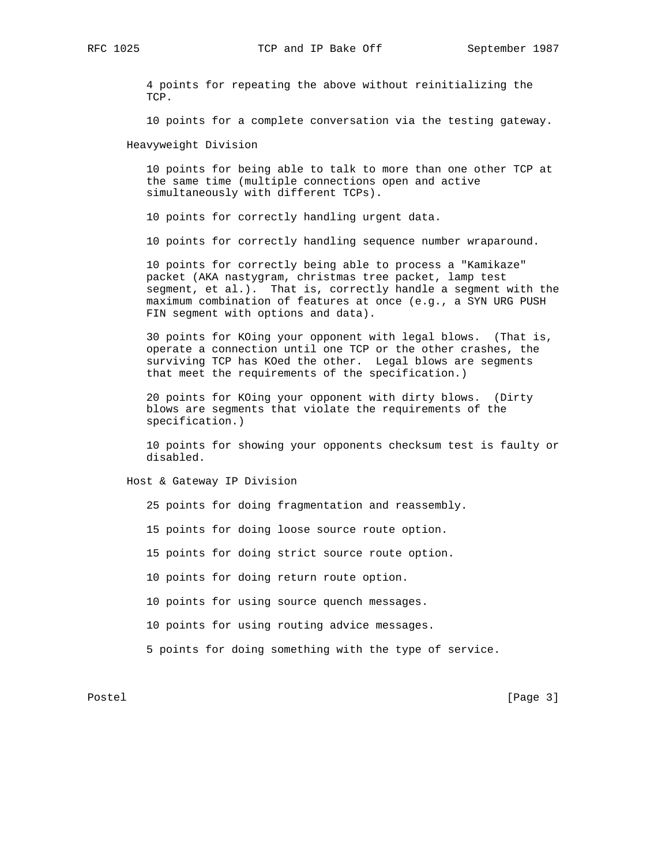RFC 1025 TCP and IP Bake Off September 1987

 4 points for repeating the above without reinitializing the TCP.

10 points for a complete conversation via the testing gateway.

Heavyweight Division

 10 points for being able to talk to more than one other TCP at the same time (multiple connections open and active simultaneously with different TCPs).

10 points for correctly handling urgent data.

10 points for correctly handling sequence number wraparound.

 10 points for correctly being able to process a "Kamikaze" packet (AKA nastygram, christmas tree packet, lamp test segment, et al.). That is, correctly handle a segment with the maximum combination of features at once (e.g., a SYN URG PUSH FIN segment with options and data).

 30 points for KOing your opponent with legal blows. (That is, operate a connection until one TCP or the other crashes, the surviving TCP has KOed the other. Legal blows are segments that meet the requirements of the specification.)

 20 points for KOing your opponent with dirty blows. (Dirty blows are segments that violate the requirements of the specification.)

 10 points for showing your opponents checksum test is faulty or disabled.

Host & Gateway IP Division

25 points for doing fragmentation and reassembly.

15 points for doing loose source route option.

15 points for doing strict source route option.

10 points for doing return route option.

10 points for using source quench messages.

10 points for using routing advice messages.

5 points for doing something with the type of service.

Postel [Page 3]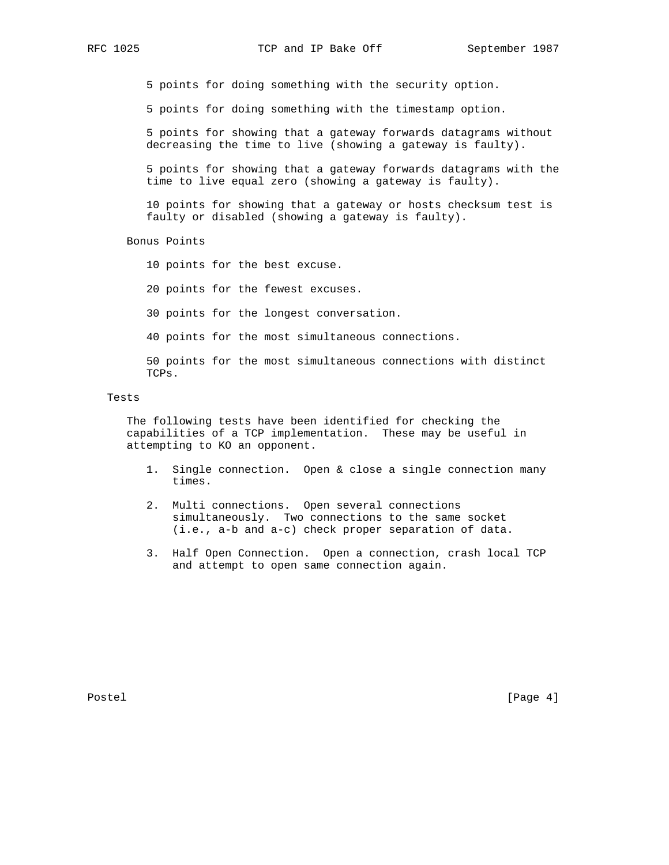5 points for doing something with the security option.

5 points for doing something with the timestamp option.

 5 points for showing that a gateway forwards datagrams without decreasing the time to live (showing a gateway is faulty).

 5 points for showing that a gateway forwards datagrams with the time to live equal zero (showing a gateway is faulty).

 10 points for showing that a gateway or hosts checksum test is faulty or disabled (showing a gateway is faulty).

Bonus Points

10 points for the best excuse.

20 points for the fewest excuses.

30 points for the longest conversation.

40 points for the most simultaneous connections.

 50 points for the most simultaneous connections with distinct TCPs.

### Tests

 The following tests have been identified for checking the capabilities of a TCP implementation. These may be useful in attempting to KO an opponent.

- 1. Single connection. Open & close a single connection many times.
- 2. Multi connections. Open several connections simultaneously. Two connections to the same socket (i.e., a-b and a-c) check proper separation of data.
- 3. Half Open Connection. Open a connection, crash local TCP and attempt to open same connection again.

Postel [Page 4] [Page 4]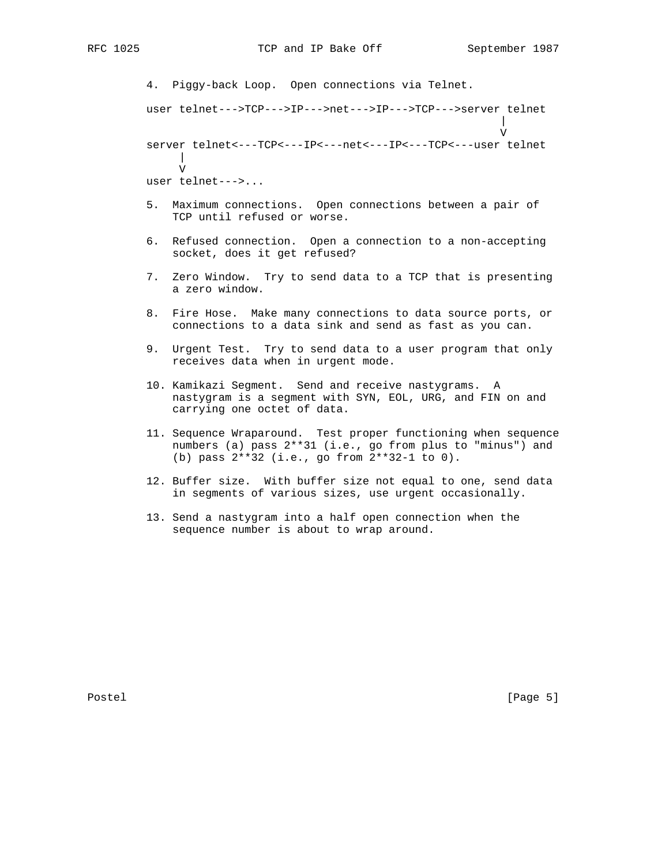4. Piggy-back Loop. Open connections via Telnet. user telnet--->TCP--->IP--->net--->IP--->TCP--->server telnet | V server telnet<---TCP<---IP<---net<---IP<---TCP<---user telnet | V user telnet--->... 5. Maximum connections. Open connections between a pair of

> 6. Refused connection. Open a connection to a non-accepting socket, does it get refused?

TCP until refused or worse.

- 7. Zero Window. Try to send data to a TCP that is presenting a zero window.
- 8. Fire Hose. Make many connections to data source ports, or connections to a data sink and send as fast as you can.
- 9. Urgent Test. Try to send data to a user program that only receives data when in urgent mode.
- 10. Kamikazi Segment. Send and receive nastygrams. A nastygram is a segment with SYN, EOL, URG, and FIN on and carrying one octet of data.
- 11. Sequence Wraparound. Test proper functioning when sequence numbers (a) pass 2\*\*31 (i.e., go from plus to "minus") and (b) pass 2\*\*32 (i.e., go from 2\*\*32-1 to 0).
- 12. Buffer size. With buffer size not equal to one, send data in segments of various sizes, use urgent occasionally.
- 13. Send a nastygram into a half open connection when the sequence number is about to wrap around.

Postel [Page 5]